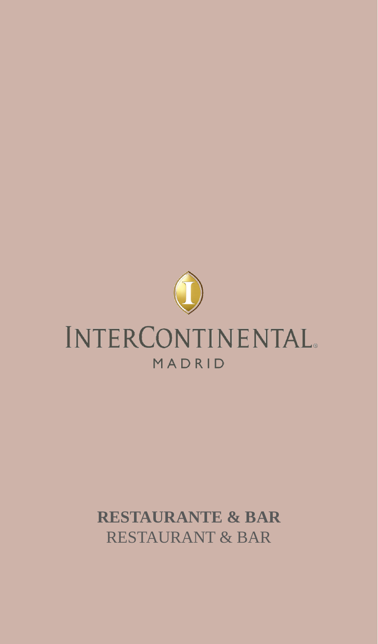

## **RESTAURANTE & BAR** RESTAURANT & BAR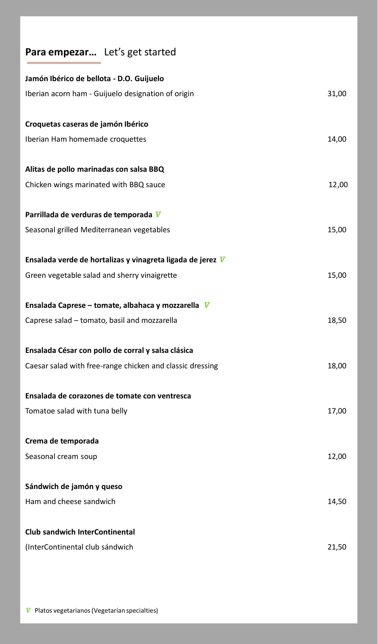## **Para empezar…** Let's get started

| Jamón Ibérico de bellota - D.O. Guijuelo                   |       |
|------------------------------------------------------------|-------|
| Iberian acorn ham - Guijuelo designation of origin         | 31,00 |
|                                                            |       |
| Croquetas caseras de jamón Ibérico                         |       |
| Iberian Ham homemade croquettes                            | 14,00 |
| Alitas de pollo marinadas con salsa BBQ                    |       |
| Chicken wings marinated with BBQ sauce                     | 12,00 |
| Parrillada de verduras de temporada V                      |       |
| Seasonal grilled Mediterranean vegetables                  | 15,00 |
|                                                            |       |
| Ensalada verde de hortalizas y vinagreta ligada de jerez V |       |
| Green vegetable salad and sherry vinaigrette               | 15,00 |
| Ensalada Caprese - tomate, albahaca y mozzarella V         |       |
| Caprese salad - tomato, basil and mozzarella               | 18,50 |
|                                                            |       |
| Ensalada César con pollo de corral y salsa clásica         |       |
| Caesar salad with free-range chicken and classic dressing  | 18,00 |
| Ensalada de corazones de tomate con ventresca              |       |
| Tomatoe salad with tuna belly                              | 17,00 |
| Crema de temporada                                         |       |
| Seasonal cream soup                                        | 12,00 |
|                                                            |       |
| Sándwich de jamón y queso                                  |       |
| Ham and cheese sandwich                                    | 14,50 |
| <b>Club sandwich InterContinental</b>                      |       |
| (InterContinental club sándwich                            | 21,50 |